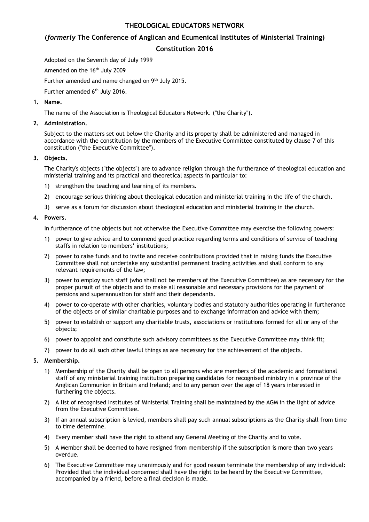# THEOLOGICAL EDUCATORS NETWORK

# (formerly The Conference of Anglican and Ecumenical Institutes of Ministerial Training)

## Constitution 2016

Adopted on the Seventh day of July 1999

Amended on the 16<sup>th</sup> July 2009

Further amended and name changed on 9<sup>th</sup> July 2015.

Further amended 6<sup>th</sup> July 2016.

## 1. Name.

The name of the Association is Theological Educators Network. ("the Charity").

## 2. Administration.

Subject to the matters set out below the Charity and its property shall be administered and managed in accordance with the constitution by the members of the Executive Committee constituted by clause 7 of this constitution ("the Executive Committee").

## 3. Objects.

The Charity's objects ("the objects") are to advance religion through the furtherance of theological education and ministerial training and its practical and theoretical aspects in particular to:

- 1) strengthen the teaching and learning of its members.
- 2) encourage serious thinking about theological education and ministerial training in the life of the church.
- 3) serve as a forum for discussion about theological education and ministerial training in the church.

## 4. Powers.

In furtherance of the objects but not otherwise the Executive Committee may exercise the following powers:

- 1) power to give advice and to commend good practice regarding terms and conditions of service of teaching staffs in relation to members' institutions;
- 2) power to raise funds and to invite and receive contributions provided that in raising funds the Executive Committee shall not undertake any substantial permanent trading activities and shall conform to any relevant requirements of the law;
- 3) power to employ such staff (who shall not be members of the Executive Committee) as are necessary for the proper pursuit of the objects and to make all reasonable and necessary provisions for the payment of pensions and superannuation for staff and their dependants.
- 4) power to co-operate with other charities, voluntary bodies and statutory authorities operating in furtherance of the objects or of similar charitable purposes and to exchange information and advice with them;
- 5) power to establish or support any charitable trusts, associations or institutions formed for all or any of the objects;
- 6) power to appoint and constitute such advisory committees as the Executive Committee may think fit;
- 7) power to do all such other lawful things as are necessary for the achievement of the objects.

## 5. Membership.

- 1) Membership of the Charity shall be open to all persons who are members of the academic and formational staff of any ministerial training institution preparing candidates for recognised ministry in a province of the Anglican Communion in Britain and Ireland; and to any person over the age of 18 years interested in furthering the objects.
- 2) A list of recognised Institutes of Ministerial Training shall be maintained by the AGM in the light of advice from the Executive Committee.
- 3) If an annual subscription is levied, members shall pay such annual subscriptions as the Charity shall from time to time determine.
- 4) Every member shall have the right to attend any General Meeting of the Charity and to vote.
- 5) A Member shall be deemed to have resigned from membership if the subscription is more than two years overdue.
- 6) The Executive Committee may unanimously and for good reason terminate the membership of any individual: Provided that the individual concerned shall have the right to be heard by the Executive Committee, accompanied by a friend, before a final decision is made.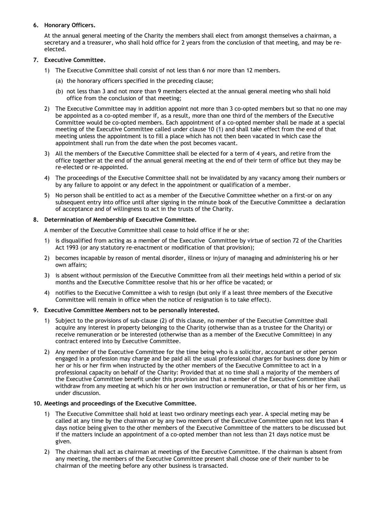## 6. Honorary Officers.

At the annual general meeting of the Charity the members shall elect from amongst themselves a chairman, a secretary and a treasurer, who shall hold office for 2 years from the conclusion of that meeting, and may be reelected.

## 7. Executive Committee.

- 1) The Executive Committee shall consist of not less than 6 nor more than 12 members.
	- (a) the honorary officers specified in the preceding clause;
	- (b) not less than 3 and not more than 9 members elected at the annual general meeting who shall hold office from the conclusion of that meeting;
- 2) The Executive Committee may in addition appoint not more than 3 co-opted members but so that no one may be appointed as a co-opted member if, as a result, more than one third of the members of the Executive Committee would be co-opted members. Each appointment of a co-opted member shall be made at a special meeting of the Executive Committee called under clause 10 (1) and shall take effect from the end of that meeting unless the appointment is to fill a place which has not then been vacated in which case the appointment shall run from the date when the post becomes vacant.
- 3) All the members of the Executive Committee shall be elected for a term of 4 years, and retire from the office together at the end of the annual general meeting at the end of their term of office but they may be re-elected or re-appointed.
- 4) The proceedings of the Executive Committee shall not be invalidated by any vacancy among their numbers or by any failure to appoint or any defect in the appointment or qualification of a member.
- 5) No person shall be entitled to act as a member of the Executive Committee whether on a first-or on any subsequent entry into office until after signing in the minute book of the Executive Committee a declaration of acceptance and of willingness to act in the trusts of the Charity.

## 8. Determination of Membership of Executive Committee.

A member of the Executive Committee shall cease to hold office if he or she:

- 1) is disqualified from acting as a member of the Executive Committee by virtue of section 72 of the Charities Act 1993 (or any statutory re-enactment or modification of that provision);
- 2) becomes incapable by reason of mental disorder, illness or injury of managing and administering his or her own affairs;
- 3) is absent without permission of the Executive Committee from all their meetings held within a period of six months and the Executive Committee resolve that his or her office be vacated; or
- 4) notifies to the Executive Committee a wish to resign (but only if a least three members of the Executive Committee will remain in office when the notice of resignation is to take effect).

## 9. Executive Committee Members not to be personally interested.

- 1) Subject to the provisions of sub-clause (2) of this clause, no member of the Executive Committee shall acquire any interest in property belonging to the Charity (otherwise than as a trustee for the Charity) or receive remuneration or be interested (otherwise than as a member of the Executive Committee) in any contract entered into by Executive Committee.
- 2) Any member of the Executive Committee for the time being who is a solicitor, accountant or other person engaged in a profession may charge and be paid all the usual professional charges for business done by him or her or his or her firm when instructed by the other members of the Executive Committee to act in a professional capacity on behalf of the Charity: Provided that at no time shall a majority of the members of the Executive Committee benefit under this provision and that a member of the Executive Committee shall withdraw from any meeting at which his or her own instruction or remuneration, or that of his or her firm, us under discussion.

## 10. Meetings and proceedings of the Executive Committee.

- 1) The Executive Committee shall hold at least two ordinary meetings each year. A special meting may be called at any time by the chairman or by any two members of the Executive Committee upon not less than 4 days notice being given to the other members of the Executive Committee of the matters to be discussed but if the matters include an appointment of a co-opted member than not less than 21 days notice must be given.
- 2) The chairman shall act as chairman at meetings of the Executive Committee. If the chairman is absent from any meeting, the members of the Executive Committee present shall choose one of their number to be chairman of the meeting before any other business is transacted.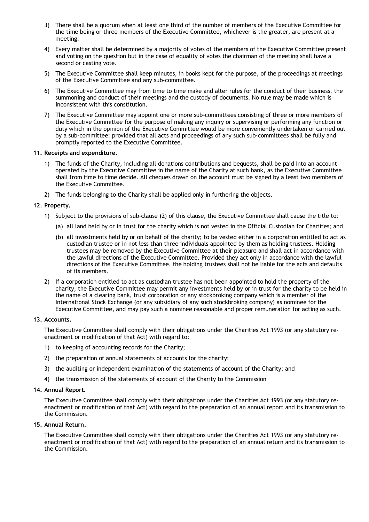- 3) There shall be a quorum when at least one third of the number of members of the Executive Committee for the time being or three members of the Executive Committee, whichever is the greater, are present at a meeting.
- 4) Every matter shall be determined by a majority of votes of the members of the Executive Committee present and voting on the question but in the case of equality of votes the chairman of the meeting shall have a second or casting vote.
- 5) The Executive Committee shall keep minutes, in books kept for the purpose, of the proceedings at meetings of the Executive Committee and any sub-committee.
- 6) The Executive Committee may from time to time make and alter rules for the conduct of their business, the summoning and conduct of their meetings and the custody of documents. No rule may be made which is inconsistent with this constitution.
- 7) The Executive Committee may appoint one or more sub-committees consisting of three or more members of the Executive Committee for the purpose of making any inquiry or supervising or performing any function or duty which in the opinion of the Executive Committee would be more conveniently undertaken or carried out by a sub-committee: provided that all acts and proceedings of any such sub-committees shall be fully and promptly reported to the Executive Committee.

## 11. Receipts and expenditure.

- 1) The funds of the Charity, including all donations contributions and bequests, shall be paid into an account operated by the Executive Committee in the name of the Charity at such bank, as the Executive Committee shall from time to time decide. All cheques drawn on the account must be signed by a least two members of the Executive Committee.
- 2) The funds belonging to the Charity shall be applied only in furthering the objects.

#### 12. Property.

- 1) Subject to the provisions of sub-clause (2) of this clause, the Executive Committee shall cause the title to:
	- (a) all land held by or in trust for the charity which is not vested in the Official Custodian for Charities; and
	- (b) all investments held by or on behalf of the charity; to be vested either in a corporation entitled to act as custodian trustee or in not less than three individuals appointed by them as holding trustees. Holding trustees may be removed by the Executive Committee at their pleasure and shall act in accordance with the lawful directions of the Executive Committee. Provided they act only in accordance with the lawful directions of the Executive Committee, the holding trustees shall not be liable for the acts and defaults of its members.
- 2) If a corporation entitled to act as custodian trustee has not been appointed to hold the property of the charity, the Executive Committee may permit any investments held by or in trust for the charity to be held in the name of a clearing bank, trust corporation or any stockbroking company which is a member of the International Stock Exchange (or any subsidiary of any such stockbroking company) as nominee for the Executive Committee, and may pay such a nominee reasonable and proper remuneration for acting as such.

#### 13. Accounts.

The Executive Committee shall comply with their obligations under the Charities Act 1993 (or any statutory reenactment or modification of that Act) with regard to:

- 1) to keeping of accounting records for the Charity;
- 2) the preparation of annual statements of accounts for the charity;
- 3) the auditing or independent examination of the statements of account of the Charity; and
- 4) the transmission of the statements of account of the Charity to the Commission

### 14. Annual Report.

The Executive Committee shall comply with their obligations under the Charities Act 1993 (or any statutory reenactment or modification of that Act) with regard to the preparation of an annual report and its transmission to the Commission.

## 15. Annual Return.

The Executive Committee shall comply with their obligations under the Charities Act 1993 (or any statutory reenactment or modification of that Act) with regard to the preparation of an annual return and its transmission to the Commission.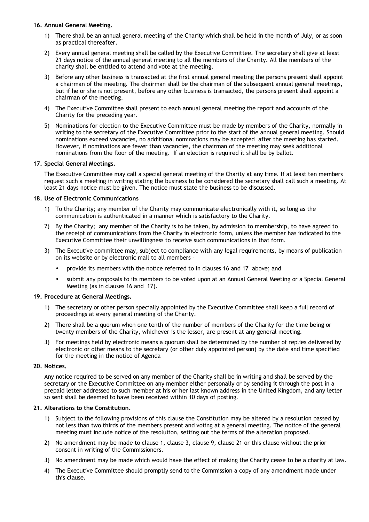## 16. Annual General Meeting.

- 1) There shall be an annual general meeting of the Charity which shall be held in the month of July, or as soon as practical thereafter.
- 2) Every annual general meeting shall be called by the Executive Committee. The secretary shall give at least 21 days notice of the annual general meeting to all the members of the Charity. All the members of the charity shall be entitled to attend and vote at the meeting.
- 3) Before any other business is transacted at the first annual general meeting the persons present shall appoint a chairman of the meeting. The chairman shall be the chairman of the subsequent annual general meetings, but if he or she is not present, before any other business is transacted, the persons present shall appoint a chairman of the meeting.
- 4) The Executive Committee shall present to each annual general meeting the report and accounts of the Charity for the preceding year.
- 5) Nominations for election to the Executive Committee must be made by members of the Charity, normally in writing to the secretary of the Executive Committee prior to the start of the annual general meeting. Should nominations exceed vacancies, no additional nominations may be accepted after the meeting has started. However, if nominations are fewer than vacancies, the chairman of the meeting may seek additional nominations from the floor of the meeting. If an election is required it shall be by ballot.

## 17. Special General Meetings.

The Executive Committee may call a special general meeting of the Charity at any time. If at least ten members request such a meeting in writing stating the business to be considered the secretary shall call such a meeting. At least 21 days notice must be given. The notice must state the business to be discussed.

## 18. Use of Electronic Communications

- 1) To the Charity; any member of the Charity may communicate electronically with it, so long as the communication is authenticated in a manner which is satisfactory to the Charity.
- 2) By the Charity; any member of the Charity is to be taken, by admission to membership, to have agreed to the receipt of communications from the Charity in electronic form, unless the member has indicated to the Executive Committee their unwillingness to receive such communications in that form.
- 3) The Executive committee may, subject to compliance with any legal requirements, by means of publication on its website or by electronic mail to all members –
	- provide its members with the notice referred to in clauses 16 and 17 above; and
	- submit any proposals to its members to be voted upon at an Annual General Meeting or a Special General Meeting (as in clauses 16 and 17).

## 19. Procedure at General Meetings.

- 1) The secretary or other person specially appointed by the Executive Committee shall keep a full record of proceedings at every general meeting of the Charity.
- 2) There shall be a quorum when one tenth of the number of members of the Charity for the time being or twenty members of the Charity, whichever is the lesser, are present at any general meeting.
- 3) For meetings held by electronic means a quorum shall be determined by the number of replies delivered by electronic or other means to the secretary (or other duly appointed person) by the date and time specified for the meeting in the notice of Agenda

## 20. Notices.

Any notice required to be served on any member of the Charity shall be in writing and shall be served by the secretary or the Executive Committee on any member either personally or by sending it through the post in a prepaid letter addressed to such member at his or her last known address in the United Kingdom, and any letter so sent shall be deemed to have been received within 10 days of posting.

## 21. Alterations to the Constitution.

- 1) Subject to the following provisions of this clause the Constitution may be altered by a resolution passed by not less than two thirds of the members present and voting at a general meeting. The notice of the general meeting must include notice of the resolution, setting out the terms of the alteration proposed.
- 2) No amendment may be made to clause 1, clause 3, clause 9, clause 21 or this clause without the prior consent in writing of the Commissioners.
- 3) No amendment may be made which would have the effect of making the Charity cease to be a charity at law.
- 4) The Executive Committee should promptly send to the Commission a copy of any amendment made under this clause.